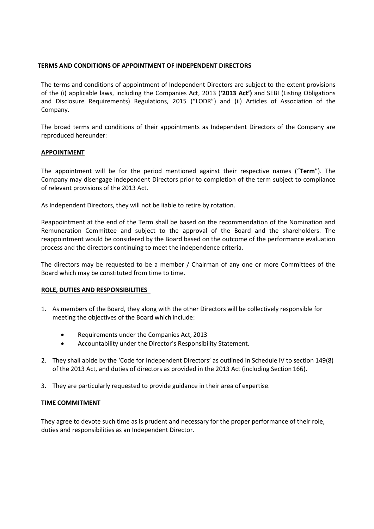# **TERMS AND CONDITIONS OF APPOINTMENT OF INDEPENDENT DIRECTORS**

The terms and conditions of appointment of Independent Directors are subject to the extent provisions of the (i) applicable laws, including the Companies Act, 2013 (**'2013 Act')** and SEBI (Listing Obligations and Disclosure Requirements) Regulations, 2015 ("LODR") and (ii) Articles of Association of the Company.

The broad terms and conditions of their appointments as Independent Directors of the Company are reproduced hereunder:

# **APPOINTMENT**

The appointment will be for the period mentioned against their respective names ("**Term**"). The Company may disengage Independent Directors prior to completion of the term subject to compliance of relevant provisions of the 2013 Act.

As Independent Directors, they will not be liable to retire by rotation.

Reappointment at the end of the Term shall be based on the recommendation of the Nomination and Remuneration Committee and subject to the approval of the Board and the shareholders. The reappointment would be considered by the Board based on the outcome of the performance evaluation process and the directors continuing to meet the independence criteria.

The directors may be requested to be a member / Chairman of any one or more Committees of the Board which may be constituted from time to time.

## **ROLE, DUTIES AND RESPONSIBILITIES**

- 1. As members of the Board, they along with the other Directors will be collectively responsible for meeting the objectives of the Board which include:
	- Requirements under the Companies Act, 2013
	- Accountability under the Director's Responsibility Statement.
- 2. They shall abide by the 'Code for Independent Directors' as outlined in Schedule IV to section 149(8) of the 2013 Act, and duties of directors as provided in the 2013 Act (including Section 166).
- 3. They are particularly requested to provide guidance in their area of expertise.

## **TIME COMMITMENT**

They agree to devote such time as is prudent and necessary for the proper performance of their role, duties and responsibilities as an Independent Director.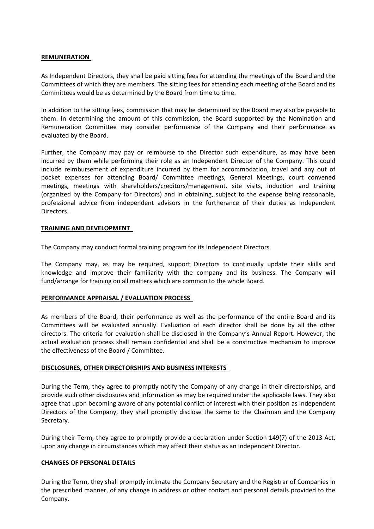### **REMUNERATION**

As Independent Directors, they shall be paid sitting fees for attending the meetings of the Board and the Committees of which they are members. The sitting fees for attending each meeting of the Board and its Committees would be as determined by the Board from time to time.

In addition to the sitting fees, commission that may be determined by the Board may also be payable to them. In determining the amount of this commission, the Board supported by the Nomination and Remuneration Committee may consider performance of the Company and their performance as evaluated by the Board.

Further, the Company may pay or reimburse to the Director such expenditure, as may have been incurred by them while performing their role as an Independent Director of the Company. This could include reimbursement of expenditure incurred by them for accommodation, travel and any out of pocket expenses for attending Board/ Committee meetings, General Meetings, court convened meetings, meetings with shareholders/creditors/management, site visits, induction and training (organized by the Company for Directors) and in obtaining, subject to the expense being reasonable, professional advice from independent advisors in the furtherance of their duties as Independent Directors.

### **TRAINING AND DEVELOPMENT**

The Company may conduct formal training program for its Independent Directors.

The Company may, as may be required, support Directors to continually update their skills and knowledge and improve their familiarity with the company and its business. The Company will fund/arrange for training on all matters which are common to the whole Board.

## **PERFORMANCE APPRAISAL / EVALUATION PROCESS**

As members of the Board, their performance as well as the performance of the entire Board and its Committees will be evaluated annually. Evaluation of each director shall be done by all the other directors. The criteria for evaluation shall be disclosed in the Company's Annual Report. However, the actual evaluation process shall remain confidential and shall be a constructive mechanism to improve the effectiveness of the Board / Committee.

## **DISCLOSURES, OTHER DIRECTORSHIPS AND BUSINESS INTERESTS**

During the Term, they agree to promptly notify the Company of any change in their directorships, and provide such other disclosures and information as may be required under the applicable laws. They also agree that upon becoming aware of any potential conflict of interest with their position as Independent Directors of the Company, they shall promptly disclose the same to the Chairman and the Company Secretary.

During their Term, they agree to promptly provide a declaration under Section 149(7) of the 2013 Act, upon any change in circumstances which may affect their status as an Independent Director.

#### **CHANGES OF PERSONAL DETAILS**

During the Term, they shall promptly intimate the Company Secretary and the Registrar of Companies in the prescribed manner, of any change in address or other contact and personal details provided to the Company.